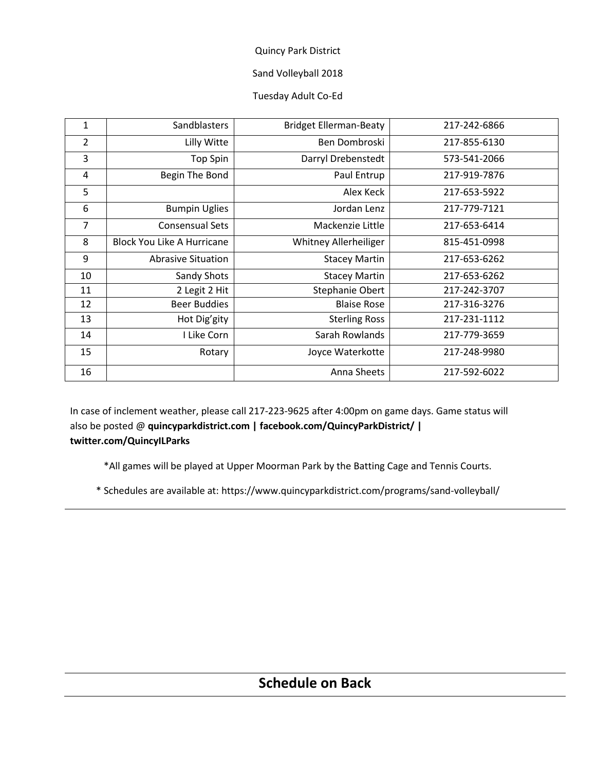# Sand Volleyball 2018

## Tuesday Adult Co-Ed

| 1              | Sandblasters                      | <b>Bridget Ellerman-Beaty</b> | 217-242-6866 |
|----------------|-----------------------------------|-------------------------------|--------------|
| $\overline{2}$ | Lilly Witte                       | Ben Dombroski                 | 217-855-6130 |
| 3              | <b>Top Spin</b>                   | Darryl Drebenstedt            | 573-541-2066 |
| 4              | Begin The Bond                    | Paul Entrup                   | 217-919-7876 |
| 5              |                                   | Alex Keck                     | 217-653-5922 |
| 6              | <b>Bumpin Uglies</b>              | Jordan Lenz                   | 217-779-7121 |
| 7              | <b>Consensual Sets</b>            | Mackenzie Little              | 217-653-6414 |
| 8              | <b>Block You Like A Hurricane</b> | Whitney Allerheiliger         | 815-451-0998 |
| 9              | <b>Abrasive Situation</b>         | <b>Stacey Martin</b>          | 217-653-6262 |
| 10             | Sandy Shots                       | <b>Stacey Martin</b>          | 217-653-6262 |
| 11             | 2 Legit 2 Hit                     | Stephanie Obert               | 217-242-3707 |
| 12             | <b>Beer Buddies</b>               | <b>Blaise Rose</b>            | 217-316-3276 |
| 13             | Hot Dig'gity                      | <b>Sterling Ross</b>          | 217-231-1112 |
| 14             | I Like Corn                       | Sarah Rowlands                | 217-779-3659 |
| 15             | Rotary                            | Joyce Waterkotte              | 217-248-9980 |
| 16             |                                   | Anna Sheets                   | 217-592-6022 |

In case of inclement weather, please call 217-223-9625 after 4:00pm on game days. Game status will also be posted @ **quincyparkdistrict.com | facebook.com/QuincyParkDistrict/ | twitter.com/QuincyILParks**

\*All games will be played at Upper Moorman Park by the Batting Cage and Tennis Courts.

\* Schedules are available at: https://www.quincyparkdistrict.com/programs/sand-volleyball/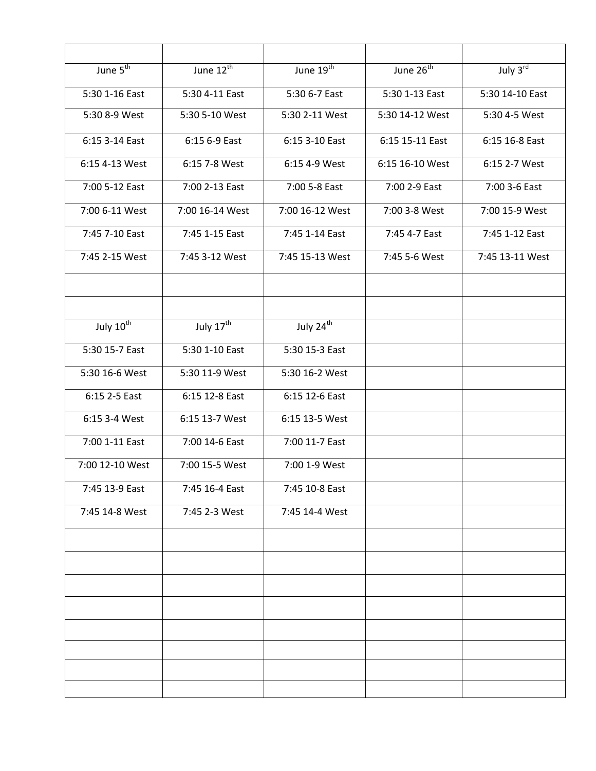| June $\overline{5^{th}}$ | June 12 <sup>th</sup> | June 19 <sup>th</sup> | June 26 <sup>th</sup> | July $3^{\overline{rd}}$ |
|--------------------------|-----------------------|-----------------------|-----------------------|--------------------------|
| 5:30 1-16 East           | 5:30 4-11 East        | 5:30 6-7 East         | 5:30 1-13 East        | 5:30 14-10 East          |
| 5:30 8-9 West            | 5:30 5-10 West        | 5:30 2-11 West        | 5:30 14-12 West       | 5:30 4-5 West            |
| 6:15 3-14 East           | 6:15 6-9 East         | 6:15 3-10 East        | 6:15 15-11 East       | 6:15 16-8 East           |
| 6:15 4-13 West           | 6:15 7-8 West         | 6:15 4-9 West         | 6:15 16-10 West       | 6:15 2-7 West            |
| 7:00 5-12 East           | 7:00 2-13 East        | 7:00 5-8 East         | 7:00 2-9 East         | 7:00 3-6 East            |
| 7:00 6-11 West           | 7:00 16-14 West       | 7:00 16-12 West       | 7:00 3-8 West         | 7:00 15-9 West           |
| 7:45 7-10 East           | 7:45 1-15 East        | 7:45 1-14 East        | 7:45 4-7 East         | 7:45 1-12 East           |
| 7:45 2-15 West           | 7:45 3-12 West        | 7:45 15-13 West       | 7:45 5-6 West         | 7:45 13-11 West          |
|                          |                       |                       |                       |                          |
|                          |                       |                       |                       |                          |
| July 10 <sup>th</sup>    | July $17^{\text{th}}$ | July $24^{th}$        |                       |                          |
| 5:30 15-7 East           | 5:30 1-10 East        | 5:30 15-3 East        |                       |                          |
| 5:30 16-6 West           | 5:30 11-9 West        | 5:30 16-2 West        |                       |                          |
| 6:15 2-5 East            | 6:15 12-8 East        | 6:15 12-6 East        |                       |                          |
| 6:15 3-4 West            | 6:15 13-7 West        | 6:15 13-5 West        |                       |                          |
| 7:00 1-11 East           | 7:00 14-6 East        | 7:00 11-7 East        |                       |                          |
| 7:00 12-10 West          | 7:00 15-5 West        | 7:00 1-9 West         |                       |                          |
| 7:45 13-9 East           | 7:45 16-4 East        | 7:45 10-8 East        |                       |                          |
| 7:45 14-8 West           | 7:45 2-3 West         | 7:45 14-4 West        |                       |                          |
|                          |                       |                       |                       |                          |
|                          |                       |                       |                       |                          |
|                          |                       |                       |                       |                          |
|                          |                       |                       |                       |                          |
|                          |                       |                       |                       |                          |
|                          |                       |                       |                       |                          |
|                          |                       |                       |                       |                          |
|                          |                       |                       |                       |                          |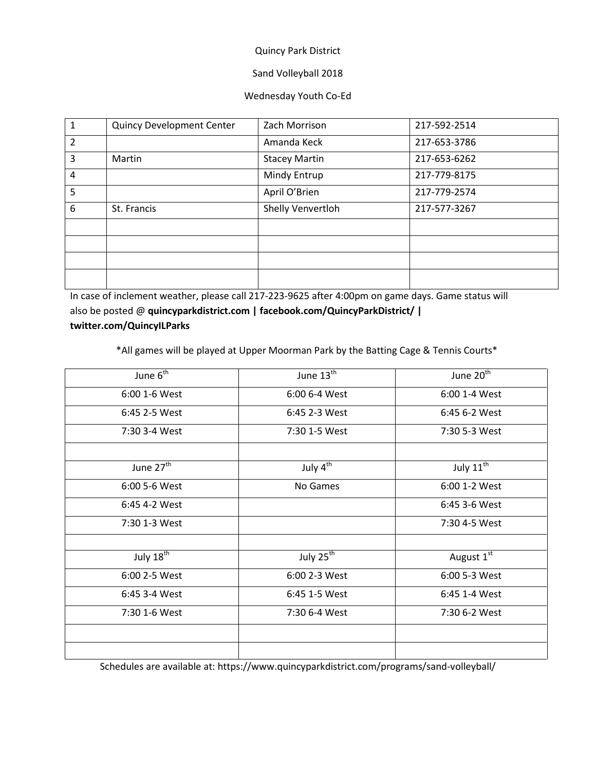### Sand Volleyball 2018

#### Wednesday Youth Co-Ed

| 1 | <b>Quincy Development Center</b> | Zach Morrison        | 217-592-2514 |
|---|----------------------------------|----------------------|--------------|
| 2 |                                  | Amanda Keck          | 217-653-3786 |
| 3 | Martin                           | <b>Stacey Martin</b> | 217-653-6262 |
| 4 |                                  | Mindy Entrup         | 217-779-8175 |
| 5 |                                  | April O'Brien        | 217-779-2574 |
| 6 | St. Francis                      | Shelly Venvertloh    | 217-577-3267 |
|   |                                  |                      |              |
|   |                                  |                      |              |
|   |                                  |                      |              |
|   |                                  |                      |              |
|   |                                  |                      |              |

In case of inclement weather, please call 217-223-9625 after 4:00pm on game days. Game status will also be posted @ **quincyparkdistrict.com | facebook.com/QuincyParkDistrict/ | twitter.com/QuincyILParks**

\*All games will be played at Upper Moorman Park by the Batting Cage & Tennis Courts\*

| June $6th$            | June $13th$          | June 20 <sup>th</sup> |
|-----------------------|----------------------|-----------------------|
| 6:00 1-6 West         | 6:00 6-4 West        | 6:00 1-4 West         |
| 6:45 2-5 West         | 6:45 2-3 West        | 6:45 6-2 West         |
| 7:30 3-4 West         | 7:30 1-5 West        | 7:30 5-3 West         |
|                       |                      |                       |
| June 27 <sup>th</sup> | July $4^{\text{th}}$ | July $11^{\text{th}}$ |
| 6:00 5-6 West         | No Games             | 6:00 1-2 West         |
| 6:45 4-2 West         |                      | 6:45 3-6 West         |
| 7:30 1-3 West         |                      | 7:30 4-5 West         |
|                       |                      |                       |
| July $18^{\text{th}}$ | July $25^{th}$       | August 1st            |
| 6:00 2-5 West         | 6:00 2-3 West        | 6:00 5-3 West         |
| 6:45 3-4 West         | 6:45 1-5 West        | 6:45 1-4 West         |
| 7:30 1-6 West         | 7:30 6-4 West        | 7:30 6-2 West         |
|                       |                      |                       |
|                       |                      |                       |

Schedules are available at: https://www.quincyparkdistrict.com/programs/sand-volleyball/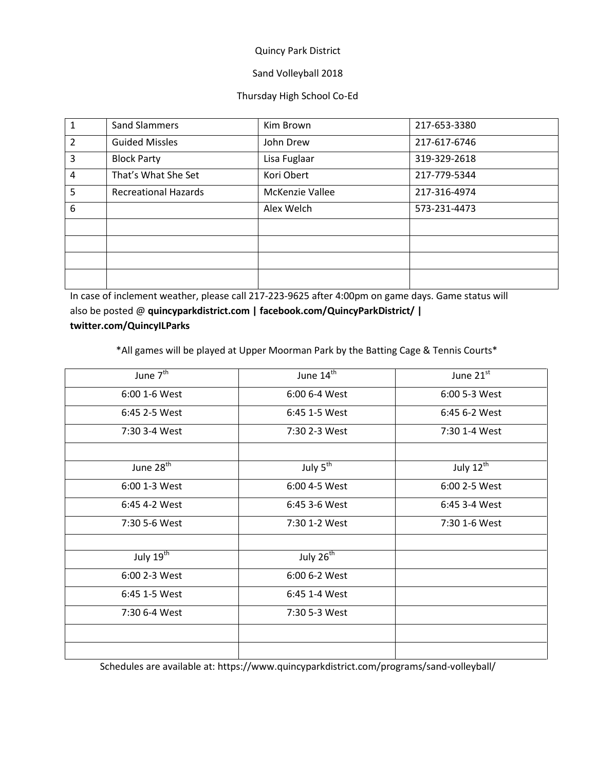## Sand Volleyball 2018

### Thursday High School Co-Ed

| 1              | <b>Sand Slammers</b>        | Kim Brown       | 217-653-3380 |
|----------------|-----------------------------|-----------------|--------------|
| $\overline{2}$ | <b>Guided Missles</b>       | John Drew       | 217-617-6746 |
| 3              | <b>Block Party</b>          | Lisa Fuglaar    | 319-329-2618 |
| 4              | That's What She Set         | Kori Obert      | 217-779-5344 |
| 5              | <b>Recreational Hazards</b> | McKenzie Vallee | 217-316-4974 |
| 6              |                             | Alex Welch      | 573-231-4473 |
|                |                             |                 |              |
|                |                             |                 |              |
|                |                             |                 |              |
|                |                             |                 |              |

In case of inclement weather, please call 217-223-9625 after 4:00pm on game days. Game status will also be posted @ **quincyparkdistrict.com | facebook.com/QuincyParkDistrict/ | twitter.com/QuincyILParks**

\*All games will be played at Upper Moorman Park by the Batting Cage & Tennis Courts\*

| June 7 <sup>th</sup>  | June 14 <sup>th</sup> | June $21^{\overline{st}}$ |
|-----------------------|-----------------------|---------------------------|
| 6:00 1-6 West         | 6:00 6-4 West         | 6:00 5-3 West             |
| 6:45 2-5 West         | 6:45 1-5 West         | 6:45 6-2 West             |
| 7:30 3-4 West         | 7:30 2-3 West         | 7:30 1-4 West             |
|                       |                       |                           |
| June 28 <sup>th</sup> | July $5^{\text{th}}$  | July $12^{\text{th}}$     |
| 6:00 1-3 West         | 6:00 4-5 West         | 6:00 2-5 West             |
| 6:45 4-2 West         | 6:45 3-6 West         | 6:45 3-4 West             |
| 7:30 5-6 West         | 7:30 1-2 West         | 7:30 1-6 West             |
|                       |                       |                           |
| July $19^{th}$        | July 26 <sup>th</sup> |                           |
| 6:00 2-3 West         | 6:00 6-2 West         |                           |
| 6:45 1-5 West         | 6:45 1-4 West         |                           |
| 7:30 6-4 West         | 7:30 5-3 West         |                           |
|                       |                       |                           |
|                       |                       |                           |

Schedules are available at: https://www.quincyparkdistrict.com/programs/sand-volleyball/